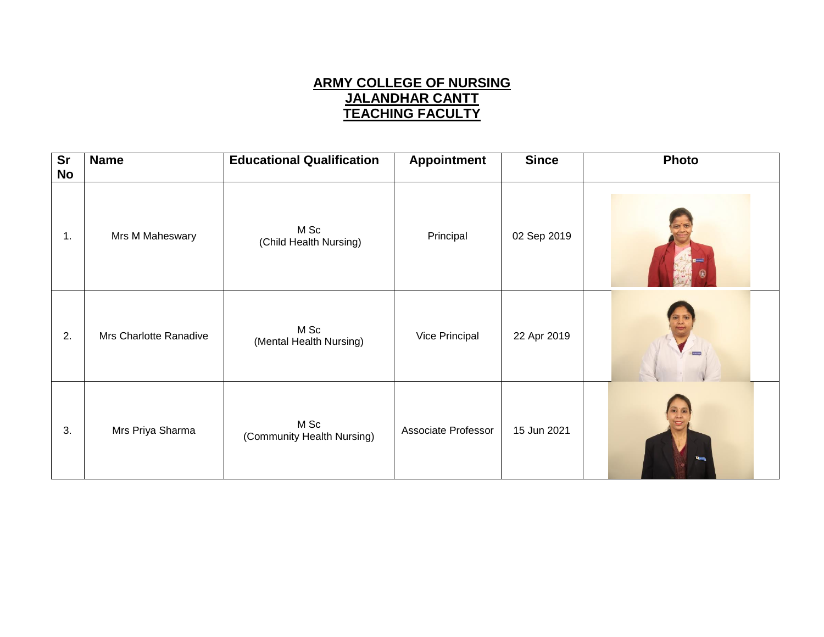## **ARMY COLLEGE OF NURSING JALANDHAR CANTT TEACHING FACULTY**

| $\overline{\text{Sr}}$<br><b>No</b> | <b>Name</b>            | <b>Educational Qualification</b>   | <b>Appointment</b>  | <b>Since</b> | <b>Photo</b> |
|-------------------------------------|------------------------|------------------------------------|---------------------|--------------|--------------|
| 1.                                  | Mrs M Maheswary        | M Sc<br>(Child Health Nursing)     | Principal           | 02 Sep 2019  |              |
| 2.                                  | Mrs Charlotte Ranadive | M Sc<br>(Mental Health Nursing)    | Vice Principal      | 22 Apr 2019  |              |
| 3.                                  | Mrs Priya Sharma       | M Sc<br>(Community Health Nursing) | Associate Professor | 15 Jun 2021  | $=$          |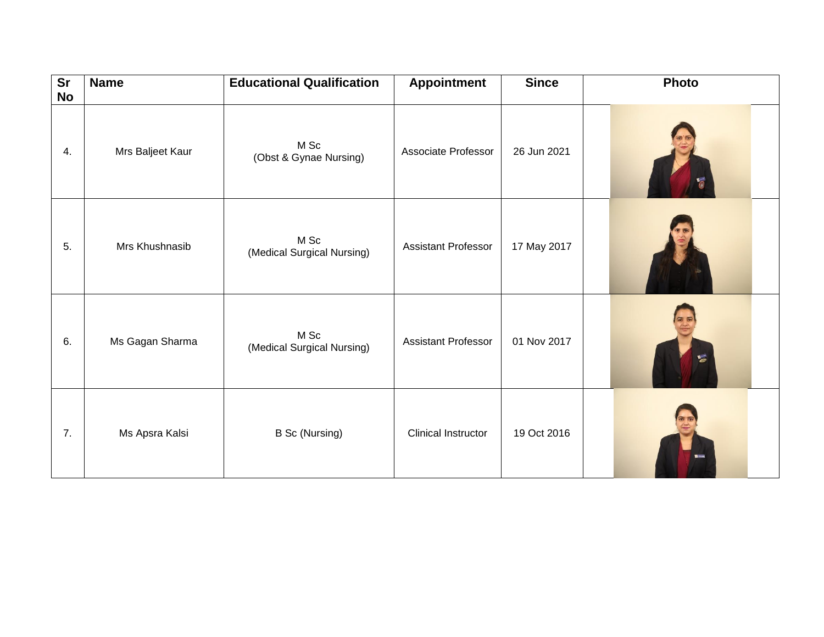| $\overline{\text{Sr}}$<br><b>No</b> | <b>Name</b>      | <b>Educational Qualification</b>   | <b>Appointment</b>         | <b>Since</b> | Photo          |
|-------------------------------------|------------------|------------------------------------|----------------------------|--------------|----------------|
| 4.                                  | Mrs Baljeet Kaur | M Sc<br>(Obst & Gynae Nursing)     | Associate Professor        | 26 Jun 2021  |                |
| 5.                                  | Mrs Khushnasib   | M Sc<br>(Medical Surgical Nursing) | <b>Assistant Professor</b> | 17 May 2017  |                |
| 6.                                  | Ms Gagan Sharma  | M Sc<br>(Medical Surgical Nursing) | <b>Assistant Professor</b> | 01 Nov 2017  | 旨              |
| 7.                                  | Ms Apsra Kalsi   | <b>B Sc (Nursing)</b>              | <b>Clinical Instructor</b> | 19 Oct 2016  | <b>El most</b> |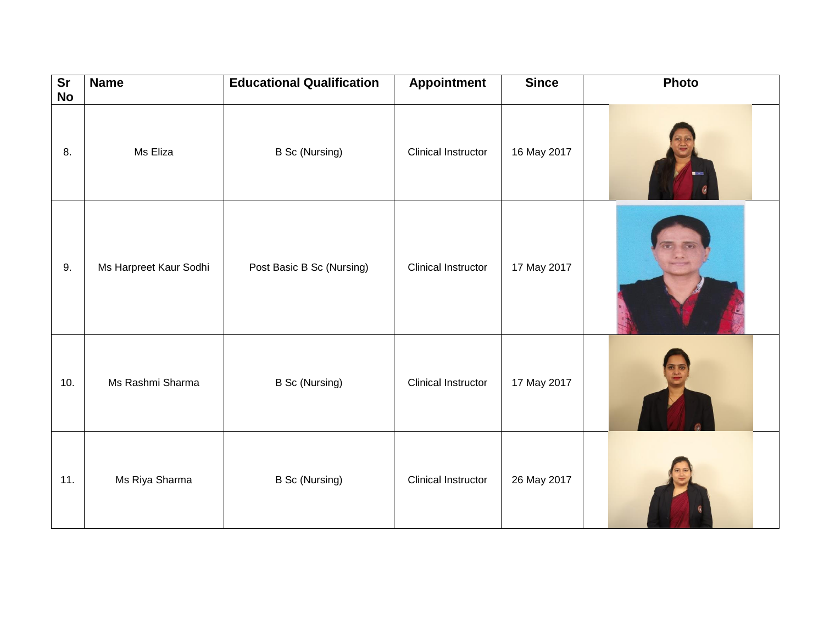| $\overline{\text{Sr}}$<br><b>No</b> | <b>Name</b>            | <b>Educational Qualification</b> | <b>Appointment</b>         | <b>Since</b> | Photo |
|-------------------------------------|------------------------|----------------------------------|----------------------------|--------------|-------|
| 8.                                  | Ms Eliza               | <b>B Sc (Nursing)</b>            | Clinical Instructor        | 16 May 2017  |       |
| 9.                                  | Ms Harpreet Kaur Sodhi | Post Basic B Sc (Nursing)        | <b>Clinical Instructor</b> | 17 May 2017  |       |
| 10.                                 | Ms Rashmi Sharma       | <b>B Sc (Nursing)</b>            | Clinical Instructor        | 17 May 2017  |       |
| 11.                                 | Ms Riya Sharma         | <b>B Sc (Nursing)</b>            | Clinical Instructor        | 26 May 2017  |       |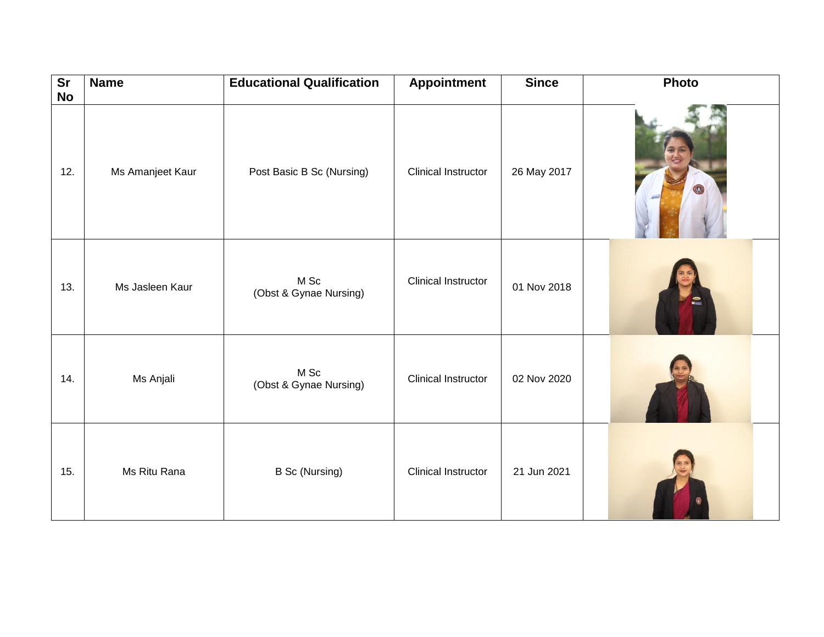| $\overline{\text{Sr}}$<br><b>No</b> | <b>Name</b>      | <b>Educational Qualification</b> | <b>Appointment</b>         | <b>Since</b> | Photo |
|-------------------------------------|------------------|----------------------------------|----------------------------|--------------|-------|
| 12.                                 | Ms Amanjeet Kaur | Post Basic B Sc (Nursing)        | Clinical Instructor        | 26 May 2017  |       |
| 13.                                 | Ms Jasleen Kaur  | M Sc<br>(Obst & Gynae Nursing)   | Clinical Instructor        | 01 Nov 2018  |       |
| 14.                                 | Ms Anjali        | M Sc<br>(Obst & Gynae Nursing)   | <b>Clinical Instructor</b> | 02 Nov 2020  |       |
| 15.                                 | Ms Ritu Rana     | <b>B Sc (Nursing)</b>            | <b>Clinical Instructor</b> | 21 Jun 2021  |       |